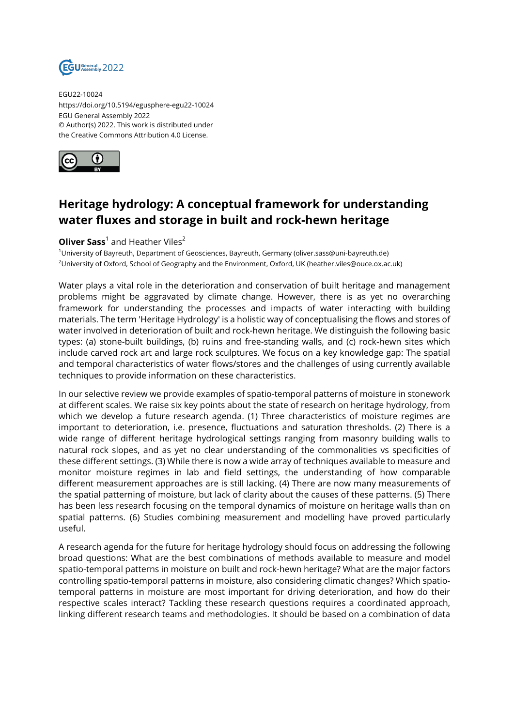

EGU22-10024 https://doi.org/10.5194/egusphere-egu22-10024 EGU General Assembly 2022 © Author(s) 2022. This work is distributed under the Creative Commons Attribution 4.0 License.



## **Heritage hydrology: A conceptual framework for understanding water fluxes and storage in built and rock-hewn heritage**

## **Oliver Sass**<sup>1</sup> and Heather Viles<sup>2</sup>

<sup>1</sup>University of Bayreuth, Department of Geosciences, Bayreuth, Germany (oliver.sass@uni-bayreuth.de) <sup>2</sup>University of Oxford, School of Geography and the Environment, Oxford, UK (heather.viles@ouce.ox.ac.uk)

Water plays a vital role in the deterioration and conservation of built heritage and management problems might be aggravated by climate change. However, there is as yet no overarching framework for understanding the processes and impacts of water interacting with building materials. The term 'Heritage Hydrology' is a holistic way of conceptualising the flows and stores of water involved in deterioration of built and rock-hewn heritage. We distinguish the following basic types: (a) stone-built buildings, (b) ruins and free-standing walls, and (c) rock-hewn sites which include carved rock art and large rock sculptures. We focus on a key knowledge gap: The spatial and temporal characteristics of water flows/stores and the challenges of using currently available techniques to provide information on these characteristics.

In our selective review we provide examples of spatio-temporal patterns of moisture in stonework at different scales. We raise six key points about the state of research on heritage hydrology, from which we develop a future research agenda. (1) Three characteristics of moisture regimes are important to deterioration, i.e. presence, fluctuations and saturation thresholds. (2) There is a wide range of different heritage hydrological settings ranging from masonry building walls to natural rock slopes, and as yet no clear understanding of the commonalities vs specificities of these different settings. (3) While there is now a wide array of techniques available to measure and monitor moisture regimes in lab and field settings, the understanding of how comparable different measurement approaches are is still lacking. (4) There are now many measurements of the spatial patterning of moisture, but lack of clarity about the causes of these patterns. (5) There has been less research focusing on the temporal dynamics of moisture on heritage walls than on spatial patterns. (6) Studies combining measurement and modelling have proved particularly useful.

A research agenda for the future for heritage hydrology should focus on addressing the following broad questions: What are the best combinations of methods available to measure and model spatio-temporal patterns in moisture on built and rock-hewn heritage? What are the major factors controlling spatio-temporal patterns in moisture, also considering climatic changes? Which spatiotemporal patterns in moisture are most important for driving deterioration, and how do their respective scales interact? Tackling these research questions requires a coordinated approach, linking different research teams and methodologies. It should be based on a combination of data